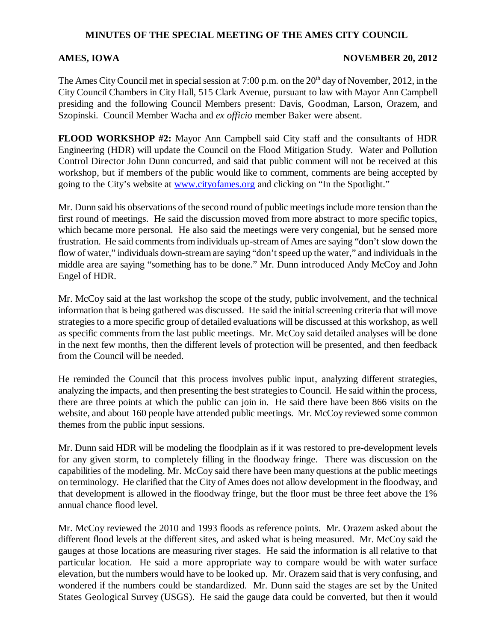## **MINUTES OF THE SPECIAL MEETING OF THE AMES CITY COUNCIL**

## **AMES, IOWA** NOVEMBER 20, 2012

The Ames City Council met in special session at 7:00 p.m. on the  $20<sup>th</sup>$  day of November, 2012, in the City Council Chambers in City Hall, 515 Clark Avenue, pursuant to law with Mayor Ann Campbell presiding and the following Council Members present: Davis, Goodman, Larson, Orazem, and Szopinski. Council Member Wacha and *ex officio* member Baker were absent.

**FLOOD WORKSHOP #2:** Mayor Ann Campbell said City staff and the consultants of HDR Engineering (HDR) will update the Council on the Flood Mitigation Study. Water and Pollution Control Director John Dunn concurred, and said that public comment will not be received at this workshop, but if members of the public would like to comment, comments are being accepted by going to the City's website at www.cityofames.org and clicking on "In the Spotlight."

Mr. Dunn said his observations of the second round of public meetings include more tension than the first round of meetings. He said the discussion moved from more abstract to more specific topics, which became more personal. He also said the meetings were very congenial, but he sensed more frustration. He said comments from individuals up-stream of Ames are saying "don't slow down the flow of water," individuals down-stream are saying "don't speed up the water," and individuals in the middle area are saying "something has to be done." Mr. Dunn introduced Andy McCoy and John Engel of HDR.

Mr. McCoy said at the last workshop the scope of the study, public involvement, and the technical information that is being gathered was discussed. He said the initial screening criteria that will move strategies to a more specific group of detailed evaluations will be discussed at this workshop, as well as specific comments from the last public meetings. Mr. McCoy said detailed analyses will be done in the next few months, then the different levels of protection will be presented, and then feedback from the Council will be needed.

He reminded the Council that this process involves public input, analyzing different strategies, analyzing the impacts, and then presenting the best strategies to Council. He said within the process, there are three points at which the public can join in. He said there have been 866 visits on the website, and about 160 people have attended public meetings. Mr. McCoy reviewed some common themes from the public input sessions.

Mr. Dunn said HDR will be modeling the floodplain as if it was restored to pre-development levels for any given storm, to completely filling in the floodway fringe. There was discussion on the capabilities of the modeling. Mr. McCoy said there have been many questions at the public meetings on terminology. He clarified that the City of Ames does not allow development in the floodway, and that development is allowed in the floodway fringe, but the floor must be three feet above the 1% annual chance flood level.

Mr. McCoy reviewed the 2010 and 1993 floods as reference points. Mr. Orazem asked about the different flood levels at the different sites, and asked what is being measured. Mr. McCoy said the gauges at those locations are measuring river stages. He said the information is all relative to that particular location. He said a more appropriate way to compare would be with water surface elevation, but the numbers would have to be looked up. Mr. Orazem said that is very confusing, and wondered if the numbers could be standardized. Mr. Dunn said the stages are set by the United States Geological Survey (USGS). He said the gauge data could be converted, but then it would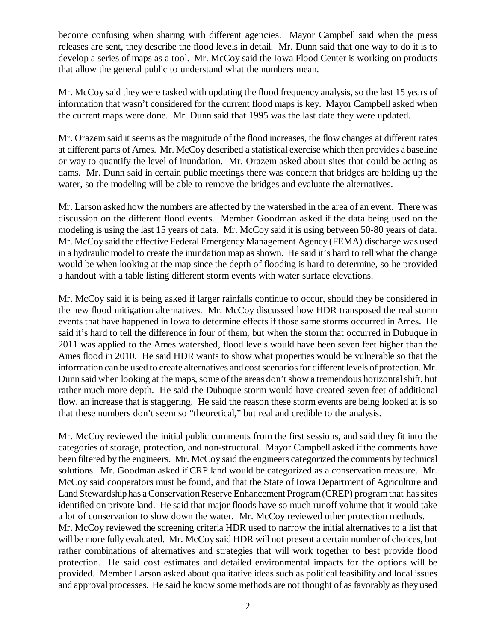become confusing when sharing with different agencies. Mayor Campbell said when the press releases are sent, they describe the flood levels in detail. Mr. Dunn said that one way to do it is to develop a series of maps as a tool. Mr. McCoy said the Iowa Flood Center is working on products that allow the general public to understand what the numbers mean.

Mr. McCoy said they were tasked with updating the flood frequency analysis, so the last 15 years of information that wasn't considered for the current flood maps is key. Mayor Campbell asked when the current maps were done. Mr. Dunn said that 1995 was the last date they were updated.

Mr. Orazem said it seems as the magnitude of the flood increases, the flow changes at different rates at different parts of Ames. Mr. McCoy described a statistical exercise which then provides a baseline or way to quantify the level of inundation. Mr. Orazem asked about sites that could be acting as dams. Mr. Dunn said in certain public meetings there was concern that bridges are holding up the water, so the modeling will be able to remove the bridges and evaluate the alternatives.

Mr. Larson asked how the numbers are affected by the watershed in the area of an event. There was discussion on the different flood events. Member Goodman asked if the data being used on the modeling is using the last 15 years of data. Mr. McCoy said it is using between 50-80 years of data. Mr. McCoy said the effective Federal Emergency Management Agency (FEMA) discharge was used in a hydraulic model to create the inundation map as shown. He said it's hard to tell what the change would be when looking at the map since the depth of flooding is hard to determine, so he provided a handout with a table listing different storm events with water surface elevations.

Mr. McCoy said it is being asked if larger rainfalls continue to occur, should they be considered in the new flood mitigation alternatives. Mr. McCoy discussed how HDR transposed the real storm events that have happened in Iowa to determine effects if those same storms occurred in Ames. He said it's hard to tell the difference in four of them, but when the storm that occurred in Dubuque in 2011 was applied to the Ames watershed, flood levels would have been seven feet higher than the Ames flood in 2010. He said HDR wants to show what properties would be vulnerable so that the information can be used to create alternatives and cost scenarios for different levels of protection. Mr. Dunn said when looking at the maps, some of the areas don't show a tremendous horizontal shift, but rather much more depth. He said the Dubuque storm would have created seven feet of additional flow, an increase that is staggering. He said the reason these storm events are being looked at is so that these numbers don't seem so "theoretical," but real and credible to the analysis.

Mr. McCoy reviewed the initial public comments from the first sessions, and said they fit into the categories of storage, protection, and non-structural. Mayor Campbell asked if the comments have been filtered by the engineers. Mr. McCoy said the engineers categorized the comments by technical solutions. Mr. Goodman asked if CRP land would be categorized as a conservation measure. Mr. McCoy said cooperators must be found, and that the State of Iowa Department of Agriculture and Land Stewardship has a Conservation Reserve Enhancement Program (CREP) program that has sites identified on private land. He said that major floods have so much runoff volume that it would take a lot of conservation to slow down the water. Mr. McCoy reviewed other protection methods. Mr. McCoy reviewed the screening criteria HDR used to narrow the initial alternatives to a list that will be more fully evaluated. Mr. McCoy said HDR will not present a certain number of choices, but rather combinations of alternatives and strategies that will work together to best provide flood protection. He said cost estimates and detailed environmental impacts for the options will be provided. Member Larson asked about qualitative ideas such as political feasibility and local issues and approval processes. He said he know some methods are not thought of as favorably as they used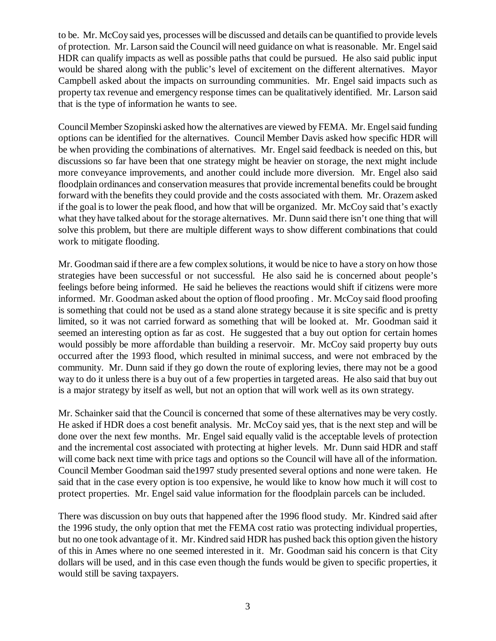to be. Mr. McCoy said yes, processes will be discussed and details can be quantified to provide levels of protection. Mr. Larson said the Council will need guidance on what is reasonable. Mr. Engel said HDR can qualify impacts as well as possible paths that could be pursued. He also said public input would be shared along with the public's level of excitement on the different alternatives. Mayor Campbell asked about the impacts on surrounding communities. Mr. Engel said impacts such as property tax revenue and emergency response times can be qualitatively identified. Mr. Larson said that is the type of information he wants to see.

Council Member Szopinski asked how the alternatives are viewed by FEMA. Mr. Engel said funding options can be identified for the alternatives. Council Member Davis asked how specific HDR will be when providing the combinations of alternatives. Mr. Engel said feedback is needed on this, but discussions so far have been that one strategy might be heavier on storage, the next might include more conveyance improvements, and another could include more diversion. Mr. Engel also said floodplain ordinances and conservation measures that provide incremental benefits could be brought forward with the benefits they could provide and the costs associated with them. Mr. Orazem asked if the goal is to lower the peak flood, and how that will be organized. Mr. McCoy said that's exactly what they have talked about for the storage alternatives. Mr. Dunn said there isn't one thing that will solve this problem, but there are multiple different ways to show different combinations that could work to mitigate flooding.

Mr. Goodman said if there are a few complex solutions, it would be nice to have a story on how those strategies have been successful or not successful. He also said he is concerned about people's feelings before being informed. He said he believes the reactions would shift if citizens were more informed. Mr. Goodman asked about the option of flood proofing . Mr. McCoy said flood proofing is something that could not be used as a stand alone strategy because it is site specific and is pretty limited, so it was not carried forward as something that will be looked at. Mr. Goodman said it seemed an interesting option as far as cost. He suggested that a buy out option for certain homes would possibly be more affordable than building a reservoir. Mr. McCoy said property buy outs occurred after the 1993 flood, which resulted in minimal success, and were not embraced by the community. Mr. Dunn said if they go down the route of exploring levies, there may not be a good way to do it unless there is a buy out of a few properties in targeted areas. He also said that buy out is a major strategy by itself as well, but not an option that will work well as its own strategy.

Mr. Schainker said that the Council is concerned that some of these alternatives may be very costly. He asked if HDR does a cost benefit analysis. Mr. McCoy said yes, that is the next step and will be done over the next few months. Mr. Engel said equally valid is the acceptable levels of protection and the incremental cost associated with protecting at higher levels. Mr. Dunn said HDR and staff will come back next time with price tags and options so the Council will have all of the information. Council Member Goodman said the1997 study presented several options and none were taken. He said that in the case every option is too expensive, he would like to know how much it will cost to protect properties. Mr. Engel said value information for the floodplain parcels can be included.

There was discussion on buy outs that happened after the 1996 flood study. Mr. Kindred said after the 1996 study, the only option that met the FEMA cost ratio was protecting individual properties, but no one took advantage of it. Mr. Kindred said HDR has pushed back this option given the history of this in Ames where no one seemed interested in it. Mr. Goodman said his concern is that City dollars will be used, and in this case even though the funds would be given to specific properties, it would still be saving taxpayers.